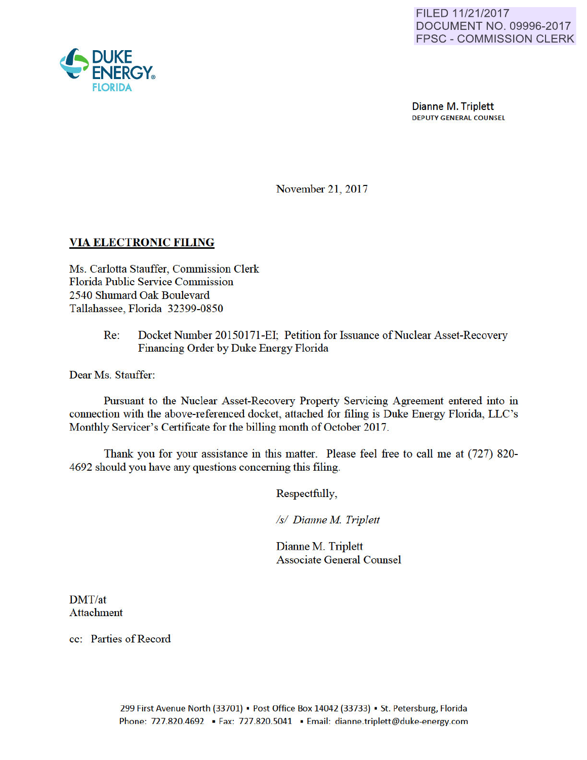

Dianne M. Triplett DEPUTY GENERAL COUNSEL

November 21, 2017

### VIA ELECTRONIC FILING

Ms. Carlotta Stauffer, Commission Clerk Florida Public Service Commission 2540 Shumard Oak Boulevard Tallahassee, Florida 32399-0850

> Re: Docket Number 20150171-EI; Petition for Issuance of Nuclear Asset-Recovery Financing Order by Duke Energy Florida

Dear Ms. Stauffer:

Pursuant to the Nuclear Asset-Recovery Property Servicing Agreement entered into in connection with the above-referenced docket, attached for filing is Duke Energy Florida, LLC's Monthly Servicer's Certificate for the billing month of October 2017.

Thank you for your assistance in this matter. Please feel free to call me at (727) 820- 4692 should you have any questions conceming this filing.

Respectfully,

*Is/ Dianne M Triplett* 

Dianne M. Triplett Associate General Counsel

DMT/at Attachment

cc: Parties of Record

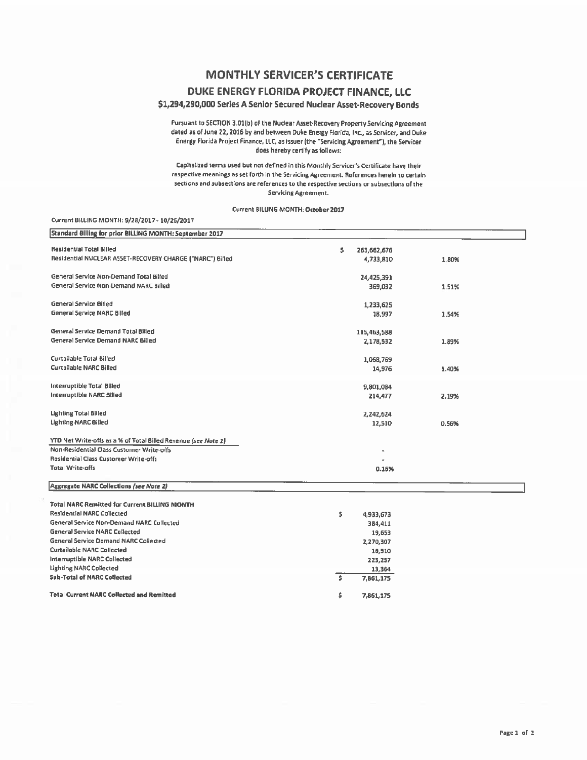# **MONTHLY SERVICER'S CERTIFICATE**

### DUKE ENERGY FLORIDA PROJECT FINANCE, LLC

### \$1,294,290,000 Series A Senior Secured Nuclear Asset-Recovery Bonds

Pursuant to SECTION 3.01(b) of the Nuclear Asset-Recovery Property Servicing Agreement dated as of June 22, 2016 by and between Duke Energy Florida, Inc., as Servicer, and Duke Energy Florida Project Finance, LLC, as issuer (the "Servicing Agreement"), the Servicer does hereby certify as follows:

Capitalized terms used but not defined in this Monthly Servicer's Certificate have their respective meanings as set forth in the Servicing Agreement. References herein to certain sections and subsections are references to the respective sections or subsections of the Servicing Agreement.

#### Current BILLING MONTH: October 2017

#### Current BILLING MONTH: 9/28/2017 - 10/26/2017

| Standard Billing for prior BILLING MONTH: September 2017       |                                      |       |
|----------------------------------------------------------------|--------------------------------------|-------|
| <b>Residential Total Billed</b>                                | \$<br>263,662,676                    |       |
| Residential NUCLEAR ASSET-RECOVERY CHARGE ("NARC") Billed      | 4,733,810                            | 1.80% |
| General Service Non-Demand Total Billed                        | 24,425,391                           |       |
| General Service Non-Demand NARC Billed                         | 369,032                              | 1.51% |
| <b>General Service Billed</b>                                  | 1,233,625                            |       |
| <b>General Service NARC Billed</b>                             | 18.997                               | 1.54% |
| General Service Demand Total Billed                            | 115,463,588                          |       |
| General Service Demand NARC Billed                             | 2,178,532                            | 1.89% |
| Curtailable Total Billed                                       | 1,068,769                            |       |
| Curtailable NARC Billed                                        | 14,976                               | 1.40% |
| Interruptible Total Billed                                     | 9,801,084                            |       |
| Interruptible NARC Billed                                      | 214,477                              | 2.19% |
| Lighting Total Billed                                          | 2,242,624                            |       |
| <b>Lighting NARC Billed</b>                                    | 12,510                               | 0.56% |
| YTD Net Write-offs as a % of Total Billed Revenue (see Note 1) |                                      |       |
| Non-Residential Class Customer Write-offs                      |                                      |       |
| Residential Class Customer Write-offs                          |                                      |       |
| Total Write-offs                                               | 0.16%                                |       |
| <b>Aggregate NARC Collections (see Note 2)</b>                 |                                      |       |
| Total NARC Remitted for Current BILLING MONTH                  |                                      |       |
| <b>Residential NARC Collected</b>                              | \$<br>4,933,673                      |       |
| <b>General Service Non-Demand NARC Collected</b>               | 384,411                              |       |
| <b>General Service NARC Collected</b>                          | 19,653                               |       |
| General Service Demand NARC Collected                          | 2,270,307                            |       |
| <b>Curtailable NARC Collected</b>                              | 16,510                               |       |
| Interruptible NARC Collected                                   | 223,257                              |       |
| <b>Lighting NARC Collected</b>                                 | 13,364                               |       |
| <b>Sub-Total of NARC Collected</b>                             | $\overline{\mathsf{s}}$<br>7,861,175 |       |
|                                                                |                                      |       |
| <b>Total Current NARC Collected and Remitted</b>               | \$<br>7,861,175                      |       |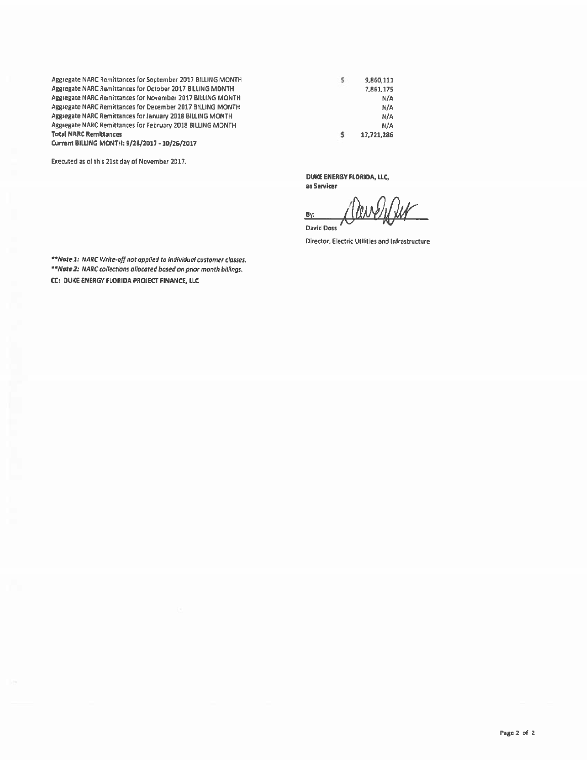Aggregate NARC Remittances for September 2017 BILLING MONTH Aggregate NARC Remittances for October 2017 BILLING MONTH Aggregate NARC Remittances for November 2017 BILLING MONTH Aggregate NARC Remittances for December 2017 BILLING MONTH Aggregate NARC Remittances for January 2018 BILLING MONTH Aggregate NARC Remittances for February 2018 BILLING MONTH **Total NARC Remittances** 

Current BILLING MONTH: 9/28/2017 - 10/26/2017

Executed as of this 21st day of November 2017.

\$ 9,860,111 7,861,175  $N/A$  $N/A$  $N/A$ N/A \$ 17,721,286

DUKE ENERGY FLORIDA, LLC, as Servicer

 $By:$ **David Doss** 

Director, Electric Utilities and Infrastructure

\*\*Note 1: NARC Write-off not applied to individual customer classes. \*\*Note 2: NARC collections allocated based on prior month billings. CC: DUKE ENERGY FLORIDA PROJECT FINANCE, LLC